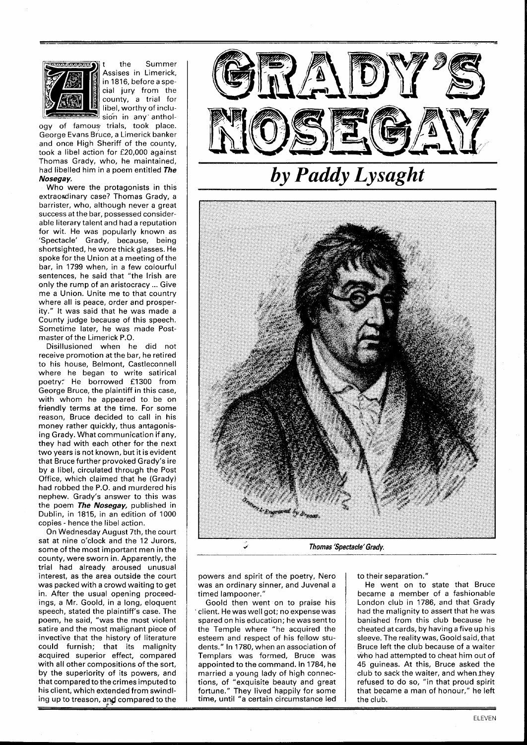

the Summer Assises in Limerick, in 1816, before a special jury from the county, a trial for libel, worthy of inclusion in any anthol-

ogy of famous trials, took place. George Evans Bruce, a Limerick banker and once High Sheriff of the county, took a libel action for £20,000 against Thomas Grady, who, he maintained, had libelled him in a poem entitled **The Nosegay.** 

Who were the protagonists in this extraordinary case? Thomas Grady, a barrister, who, although never a great success at the bar, possessed considerable literary talent and had a reputation for wit. He was popularly known as 'Spectacle' Grady, because, being shortsighted, he wore thick glasses. He spoke for the Union at a meeting of the bar, in 1799 when, in a few colourful sentences, he said that "the Irish are only the rump of an aristocracy ... Give me a Union. Unite me to that country where all is peace, order and prosperity." It was said that he was made a County judge because of this speech. Sometime later, he was made Postmaster of the Limerick P.O.

Disillusioned when he did not receive promotion at the bar, he retired to his house, Belmont, Castleconnell where he began to write satirical poetry: He borrowed £1300 from George Bruce, the plaintiff in this case, with whom he appeared to be on friendly terms at the time. For some reason, Bruce decided to call in his money rather quickly, thus antagonising Grady. What communication if any, they had with each other for the next two years is not known, but it is evident that Bruce further provoked Grady's ire by a libel, circulated through the Post Office, which claimed that he (Grady) had robbed the P.O. and murdered his nephew. Grady's answer to this was the poem **The Nosegay,** published in Dublin, in 1815, in an edition of 1000 copies - hence the libel action.

On Wednesday August 7th, the court sat at nine o'clock and the 12 Jurors, some of the most important men in the county, were sworn in. Apparently, the trial had already aroused unusual interest, as the area outside the court was packed with a crowd waiting to get in. After the usual opening proceedings, a Mr. Goold, in a long, eloquent speech, stated the plaintiff's case. The poem, he said, "was the most violent satire and the most malignant piece of invective that the history of literature could furnish; that its malignity acquired superior effect, compared with all other compositions of the sort, by the superiority of its powers, and that compared to the crimes imputed to his client, which extended from swindling up to treason, and compared to the



## **Thomas 'Spectacle'Grady.**

powers and spirit of the poetry, Nero was an ordinary sinner, and Juvenal a timed lampooner.'

Goold then went on to praise his client. He was well got; no expense was spared on his education; he was sentto the Temple where "he acquired the esteem and respect of his fellow students." In 1780, when an association of Templars was formed, Bruce was appointed to the command. In 1784, he married a young lady of high connections, of "exquisite beauty and great fortune." They lived happily for some time, until **"a** certain circumstance led to their separation."

He went on to state that Bruce became a member of a fashionable London club in 1786, and that Grady had the malignity to assert that he was banished from this club because he cheated at cards, by having a five up his sleeve. The reality was, Goold said, that Bruce left the club because of a waiter who had attempted to cheat him out of 45 guineas. At this, Bruce asked the club to sack the waiter, and when they refused to do so, "in that proud spirit that became a man of honour," he left the club.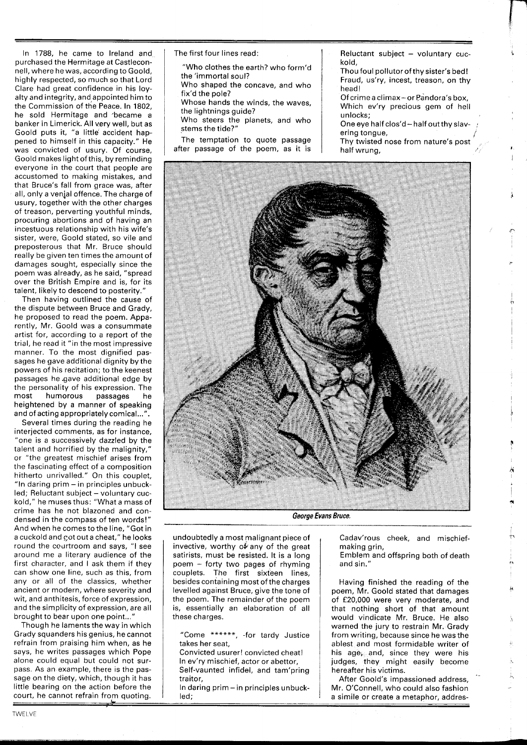In 1788, he came to Ireland and purchased the Hermitage at Castleconnell, where he was, according to Goold, highly respected, so much so that Lord Clare had great confidence in his loyalty and integrity, and appointed him to the Commission of the Peace. In 1802, he sold Hermitage and became a banker in Limerick. All very well, but as Goold puts it, "a little accident happened to himself in this capacity." He was convicted of usury. Of course, Goold makes light of this, by reminding everyone in the court that people are accustomed to making mistakes, and that Bruce's fall from grace was, after all, only a venial offence. The charge of usury, together with the other charges of treason, perverting youthful minds, procuring abortions and of having an incestuous relationship with his wife's sister, were, Goold stated, so vile and preposterous that Mr. Bruce should really be given ten times the amount of damages sought, especially since the poem was already, as he said, "spread over the British Empire and is, for its talent, likely to descend to posterity."

Then having outlined the cause of the dispute between Bruce and Grady, he proposed to read the poem. Apparently, Mr. Goold was a consummate artist for, according to a report of the trial, he read it "in the most impressive manner. To the most dignified passages he gave additional dignity by the powers of his recitation; to the keenest passages he .gave additional edge by the personality of his expression. The most humorous passages he heightened by a manner of speaking and of acting appropriately comical...".

Several times during the reading he interjected comments, as for instance, "one is a successively dazzled by the talent and horrified by the malignity," or "the greatest mischief arises from the fascinating effect of a composition hitherto unrivalled." On this couplet, "In daring prim - in principles unbuck-≅in daring prim – in principies unbuck-<br>led; Reluctant subject – voluntary <mark>cu</mark>ckold," he muses thus: "What a mass of crime has he not blazoned and condensed in the compass of ten words!" And when he comes to the line, "Got in a cuckold and got out a cheat," he looks round the courtroom and says, "I see around me a literary audience of the first character, and I ask them if they can show one line, such as this, from any or all of the classics, whether ancient or modern, where severity and wit, and anthitesis, force of expression, and the simplicity of expression, are all brought to bear upon one point...'

Though he laments the way in which Grady squanders his genius, he cannot refrain from praising him when, as he says, he writes passages which Pope alone could equal but could not surpass. As an example, there is the passage on the diety, which, though it has little bearing on the action before the court, he cannot refrain from quoting. **p**<br>**little** bear<br>**court**, he<br>**\_\_\_\_\_\_\_\_\_** 

The first four lines read:

"Who clothes the earth? who form'd the 'immortal soul? Who shaped the concave, and who fix'd the pole? Whose hands the winds, the waves, the lightnings guide? Who steers the planets, and who stems the tide?"

The temptation to quote passage after passage of the poem, as it is

Reluctant subject  $-$  voluntary cuckold,

- Thou foul pollutor of thy sister's bed! Fraud, us'ry, incest, treason, on thy head!
- Of crime a climax or Pandora's box, Which ev'ry precious gem of hell unlocks;
- One eye half clos'd  $-$  half out thy slavering tongue,
- Thy twisted nose from nature's post half wrung,



**George Evans Bruce.** 

undoubtedly a most malignant piece of invective, worthy of any of the great satirists, must be resisted. It is a long poem - forty two pages of rhyming couplets. The first sixteen lines, besides containing most of the charges levelled against Bruce, give the tone of the poem. The remainder of the poem is, essentially an elaboration of all these charges.

Convicted usurer! convicted cheat! In ev'ry mischief, actor or abettor, Self-vaunted infidel, and tam'pring traitor,

In daring prim - in principles unbuckled;

Cadav'rous cheek, and mischiefmaking grin,

Emblem and offspring both of death and sin."

Having finished the reading of the poem, Mr. Goold stated that damages of £20,000 were very moderate, and that nothing short of that amount would vindicate Mr. Bruce. He also warned the jury to restrain Mr. Grady from writing, because since he was the ablest and most formidable writer of his age, and, since they were his judges, they might easily become hereafter his victims.

After Goold's impassioned address, Muer Goold's Impassioned address,<br>
In daring prim – in principles unbuck-<br>
a simile or create a metaphor, addres-<br>
a simile or create a metaphor, addres-

<sup>&</sup>quot;Come \*\*\*\*\*\*, -for tardy Justice takes her seat,